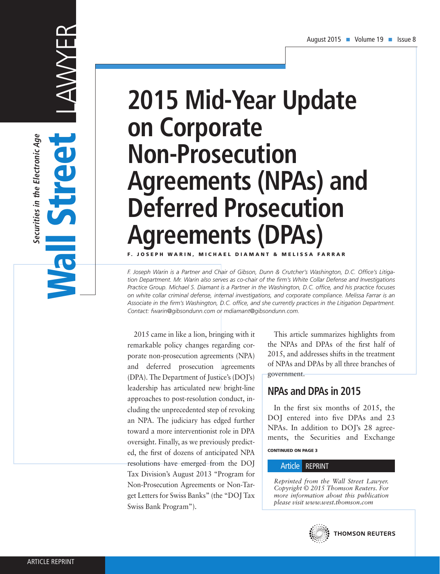# **2015 Mid-Year Update on Corporate Non-Prosecution Agreements (NPAs) and Deferred Prosecution Agreements (DPAs)** F. JOSEPH WARIN, MICHAEL DIAMANT & MELISSA FARRAR

*F. Joseph Warin is a Partner and Chair of Gibson, Dunn & Crutcher's Washington, D.C. Office's Litigation Department. Mr. Warin also serves as co-chair of the firm's White Collar Defense and Investigations Practice Group. Michael S. Diamant is a Partner in the Washington, D.C. office, and his practice focuses on white collar criminal defense, internal investigations, and corporate compliance. Melissa Farrar is an Associate in the firm's Washington, D.C. office, and she currently practices in the Litigation Department. Contact: fwarin@gibsondunn.com or mdiamant@gibsondunn.com.*

2015 came in like a lion, bringing with it remarkable policy changes regarding corporate non-prosecution agreements (NPA) and deferred prosecution agreements (DPA). The Department of Justice's (DOJ's) leadership has articulated new bright-line approaches to post-resolution conduct, including the unprecedented step of revoking an NPA. The judiciary has edged further toward a more interventionist role in DPA oversight. Finally, as we previously predicted, the first of dozens of anticipated NPA resolutions have emerged from the DOJ Tax Division's August 2013 "Program for Non-Prosecution Agreements or Non-Target Letters for Swiss Banks" (the "DOJ Tax Swiss Bank Program").

This article summarizes highlights from the NPAs and DPAs of the first half of 2015, and addresses shifts in the treatment of NPAs and DPAs by all three branches of government.

# **NPAs and DPAs in 2015**

CONTINUED ON PAGE 3 In the first six months of 2015, the DOJ entered into five DPAs and 23 NPAs. In addition to DOJ's 28 agreements, the Securities and Exchange

#### Article REPRINT

*Reprinted from the Wall Street Lawyer. Copyright © 2015 Thomson Reuters. For more information about this publication please visit www.west.thomson.com*

LAWYER Securities in the Electronic Age **Securities in the Electronic Age** Wall Street S **TIEN**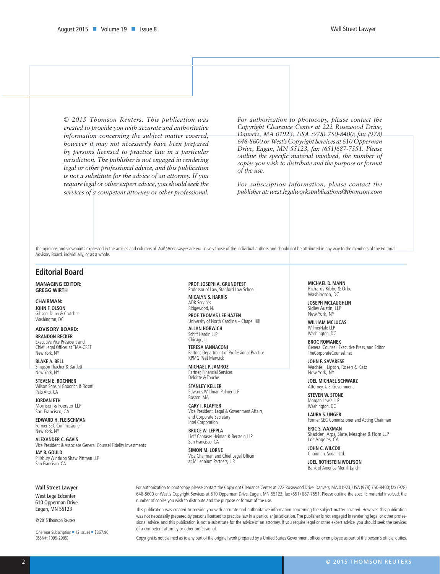*© 2015 Thomson Reuters. This publication was created to provide you with accurate and authoritative information concerning the subject matter covered, however it may not necessarily have been prepared by persons licensed to practice law in a particular jurisdiction. The publisher is not engaged in rendering legal or other professional advice, and this publication is not a substitute for the advice of an attorney. If you require legal or other expert advice, you should seek the services of a competent attorney or other professional.* 

*For authorization to photocopy, please contact the Copyright Clearance Center at 222 Rosewood Drive, Danvers, MA 01923, USA (978) 750-8400; fax (978) 646-8600 or West's Copyright Services at 610 Opperman Drive, Eagan, MN 55123, fax (651)687-7551. Please outline the specific material involved, the number of copies you wish to distribute and the purpose or format of the use.* 

*For subscription information, please contact the publisher at: west.legalworkspublications@thomson.com*

The opinions and viewpoints expressed in the articles and columns of *Wall Street Lawyer* are exclusively those of the individual authors and should not be attributed in any way to the members of the Editorial Advisory Board, individually, or as a whole.

#### **Editorial Board**

**MANAGING EDITOR: GREGG WIRTH**

**CHAIRMAN: JOHN F. OLSON** Gibson, Dunn & Crutcher Washington, DC

**ADVISORY BOARD:**

**BRANDON BECKER** Executive Vice President and Chief Legal Officer at TIAA-CREF New York, NY

**BLAKE A. BELL** Simpson Thacher & Bartlett New York, NY

**STEVEN E. BOCHNER** Wilson Sonsini Goodrich & Rosati Palo Alto, CA

**JORDAN ETH** Morrison & Foerster LLP San Francisco, CA

**EDWARD H. FLEISCHMAN** Former SEC Commissioner New York, NY

**ALEXANDER C. GAVIS** Vice President & Associate General Counsel Fidelity Investments **JAY B. GOULD**

Pillsbury Winthrop Shaw Pittman LLP San Francisco, CA

#### **PROF. JOSEPH A. GRUNDFEST** Professor of Law, Stanford Law School

**MICALYN S. HARRIS**

ADR Services Ridgewood, NJ **PROF. THOMAS LEE HAZEN** University of North Carolina – Chapel Hill

**ALLAN HORWICH** Schiff Hardin LLP Chicago, IL

**TERESA IANNACONI** Partner, Department of Professional Practice KPMG Peat Marwick

**MICHAEL P. JAMROZ** Partner, Financial Services Deloitte & Touche

**STANLEY KELLER** Edwards Wildman Palmer LLP Boston, MA

**CARY I. KLAFTER** Vice President, Legal & Government Affairs, and Corporate Secretary Intel Corporation

**BRUCE W. LEPPLA** Lieff Cabraser Heiman & Berstein LLP San Francisco, CA

**SIMON M. LORNE** Vice Chairman and Chief Legal Officer at Millennium Partners, L.P.

**MICHAEL D. MANN** Richards Kibbe & Orbe Washington, DC

**JOSEPH MCLAUGHLIN** Sidley Austin, LLP New York, NY

**WILLIAM MCLUCAS** WilmerHale LLP Washington, DC

**BROC ROMANEK** General Counsel, Executive Press, and Editor TheCorporateCounsel.net

**JOHN F. SAVARESE** Wachtell, Lipton, Rosen & Katz New York, NY

**JOEL MICHAEL SCHWARZ** Attorney, U.S. Government

**STEVEN W. STONE** Morgan Lewis LLP Washington, DC

**LAURA S. UNGER** Former SEC Commissioner and Acting Chairman

**ERIC S. WAXMAN** Skadden, Arps, Slate, Meagher & Flom LLP Los Angeles, CA

**JOHN C. WILCOX** Chairman, Sodali Ltd.

**JOEL ROTHSTEIN WOLFSON** Bank of America Merrill Lynch

**Wall Street Lawyer**

West LegalEdcenter 610 Opperman Drive Eagan, MN 55123

© 2015 Thomson Reuters

One Year Subscription = 12 Issues = \$867.96 (ISSN#: 1095-2985)

For authorization to photocopy, please contact the Copyright Clearance Center at 222 Rosewood Drive, Danvers, MA 01923, USA (978) 750-8400; fax (978) 646-8600 or West's Copyright Services at 610 Opperman Drive, Eagan, MN 55123, fax (651) 687-7551. Please outline the specific material involved, the number of copies you wish to distribute and the purpose or format of the use.

This publication was created to provide you with accurate and authoritative information concerning the subject matter covered. However, this publication was not necessarily prepared by persons licensed to practice law in a particular jurisdication. The publisher is not engaged in rendering legal or other professional advice, and this publication is not a substitute for the advice of an attorney. If you require legal or other expert advice, you should seek the services of a competent attorney or other professional.

Copyright is not claimed as to any part of the original work prepared by a United States Government officer or employee as part of the person's official duties.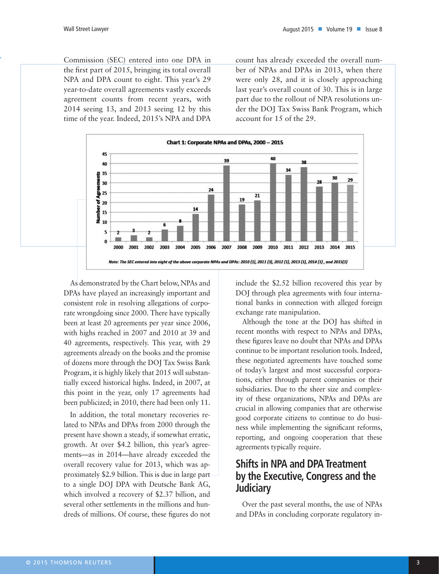Commission (SEC) entered into one DPA in the first part of 2015, bringing its total overall NPA and DPA count to eight. This year's 29 year-to-date overall agreements vastly exceeds agreement counts from recent years, with 2014 seeing 13, and 2013 seeing 12 by this time of the year. Indeed, 2015's NPA and DPA count has already exceeded the overall number of NPAs and DPAs in 2013, when there were only 28, and it is closely approaching last year's overall count of 30. This is in large part due to the rollout of NPA resolutions under the DOJ Tax Swiss Bank Program, which account for 15 of the 29.



As demonstrated by the Chart below, NPAs and DPAs have played an increasingly important and consistent role in resolving allegations of corporate wrongdoing since 2000. There have typically been at least 20 agreements per year since 2006, with highs reached in 2007 and 2010 at 39 and 40 agreements, respectively. This year, with 29 agreements already on the books and the promise of dozens more through the DOJ Tax Swiss Bank Program, it is highly likely that 2015 will substantially exceed historical highs. Indeed, in 2007, at this point in the year, only 17 agreements had been publicized; in 2010, there had been only 11.

In addition, the total monetary recoveries related to NPAs and DPAs from 2000 through the present have shown a steady, if somewhat erratic, growth. At over \$4.2 billion, this year's agreements—as in 2014—have already exceeded the overall recovery value for 2013, which was approximately \$2.9 billion. This is due in large part to a single DOJ DPA with Deutsche Bank AG, which involved a recovery of \$2.37 billion, and several other settlements in the millions and hundreds of millions. Of course, these figures do not

include the \$2.52 billion recovered this year by DOJ through plea agreements with four international banks in connection with alleged foreign exchange rate manipulation.

Although the tone at the DOJ has shifted in recent months with respect to NPAs and DPAs, these figures leave no doubt that NPAs and DPAs continue to be important resolution tools. Indeed, these negotiated agreements have touched some of today's largest and most successful corporations, either through parent companies or their subsidiaries. Due to the sheer size and complexity of these organizations, NPAs and DPAs are crucial in allowing companies that are otherwise good corporate citizens to continue to do business while implementing the significant reforms, reporting, and ongoing cooperation that these agreements typically require.

# **Shifts in NPA and DPA Treatment by the Executive, Congress and the Judiciary**

Over the past several months, the use of NPAs and DPAs in concluding corporate regulatory in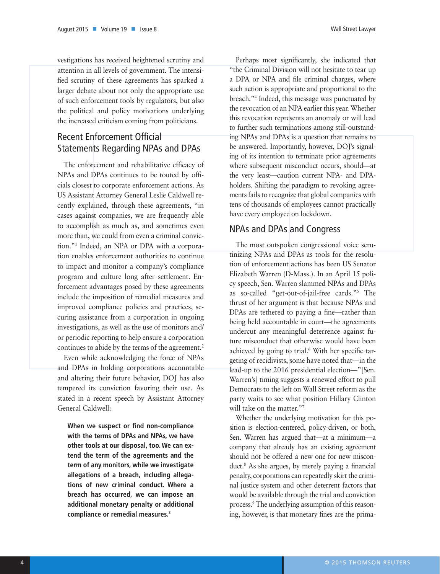vestigations has received heightened scrutiny and attention in all levels of government. The intensified scrutiny of these agreements has sparked a larger debate about not only the appropriate use of such enforcement tools by regulators, but also the political and policy motivations underlying the increased criticism coming from politicians.

# Recent Enforcement Official Statements Regarding NPAs and DPAs

The enforcement and rehabilitative efficacy of NPAs and DPAs continues to be touted by officials closest to corporate enforcement actions. As US Assistant Attorney General Leslie Caldwell recently explained, through these agreements, "in cases against companies, we are frequently able to accomplish as much as, and sometimes even more than, we could from even a criminal conviction."1 Indeed, an NPA or DPA with a corporation enables enforcement authorities to continue to impact and monitor a company's compliance program and culture long after settlement. Enforcement advantages posed by these agreements include the imposition of remedial measures and improved compliance policies and practices, securing assistance from a corporation in ongoing investigations, as well as the use of monitors and/ or periodic reporting to help ensure a corporation continues to abide by the terms of the agreement.<sup>2</sup>

Even while acknowledging the force of NPAs and DPAs in holding corporations accountable and altering their future behavior, DOJ has also tempered its conviction favoring their use. As stated in a recent speech by Assistant Attorney General Caldwell:

**When we suspect or find non-compliance with the terms of DPAs and NPAs, we have other tools at our disposal, too. We can extend the term of the agreements and the term of any monitors, while we investigate allegations of a breach, including allegations of new criminal conduct. Where a breach has occurred, we can impose an additional monetary penalty or additional compliance or remedial measures.3**

Perhaps most significantly, she indicated that "the Criminal Division will not hesitate to tear up a DPA or NPA and file criminal charges, where such action is appropriate and proportional to the breach."4 Indeed, this message was punctuated by the revocation of an NPA earlier this year. Whether this revocation represents an anomaly or will lead to further such terminations among still-outstanding NPAs and DPAs is a question that remains to be answered. Importantly, however, DOJ's signaling of its intention to terminate prior agreements where subsequent misconduct occurs, should—at the very least—caution current NPA- and DPAholders. Shifting the paradigm to revoking agreements fails to recognize that global companies with tens of thousands of employees cannot practically have every employee on lockdown.

### NPAs and DPAs and Congress

The most outspoken congressional voice scrutinizing NPAs and DPAs as tools for the resolution of enforcement actions has been US Senator Elizabeth Warren (D-Mass.). In an April 15 policy speech, Sen. Warren slammed NPAs and DPAs as so-called "get-out-of-jail-free cards."5 The thrust of her argument is that because NPAs and DPAs are tethered to paying a fine—rather than being held accountable in court—the agreements undercut any meaningful deterrence against future misconduct that otherwise would have been achieved by going to trial.<sup>6</sup> With her specific targeting of recidivists, some have noted that—in the lead-up to the 2016 presidential election—"[Sen. Warren's] timing suggests a renewed effort to pull Democrats to the left on Wall Street reform as the party waits to see what position Hillary Clinton will take on the matter."<sup>7</sup>

Whether the underlying motivation for this position is election-centered, policy-driven, or both, Sen. Warren has argued that—at a minimum—a company that already has an existing agreement should not be offered a new one for new misconduct.8 As she argues, by merely paying a financial penalty, corporations can repeatedly skirt the criminal justice system and other deterrent factors that would be available through the trial and conviction process.9 The underlying assumption of this reasoning, however, is that monetary fines are the prima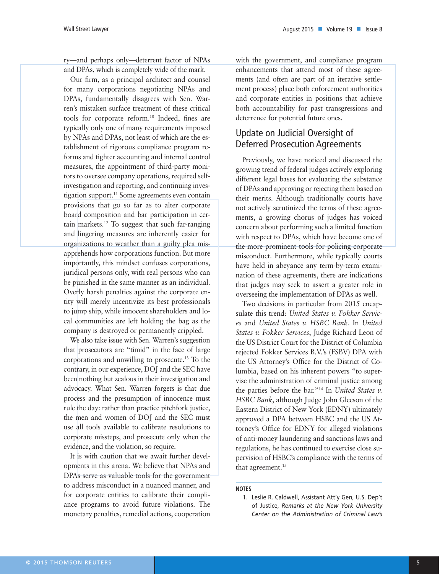ry—and perhaps only—deterrent factor of NPAs and DPAs, which is completely wide of the mark.

Our firm, as a principal architect and counsel for many corporations negotiating NPAs and DPAs, fundamentally disagrees with Sen. Warren's mistaken surface treatment of these critical tools for corporate reform.10 Indeed, fines are typically only one of many requirements imposed by NPAs and DPAs, not least of which are the establishment of rigorous compliance program reforms and tighter accounting and internal control measures, the appointment of third-party monitors to oversee company operations, required selfinvestigation and reporting, and continuing investigation support.<sup>11</sup> Some agreements even contain provisions that go so far as to alter corporate board composition and bar participation in certain markets.12 To suggest that such far-ranging and lingering measures are inherently easier for organizations to weather than a guilty plea misapprehends how corporations function. But more importantly, this mindset confuses corporations, juridical persons only, with real persons who can be punished in the same manner as an individual. Overly harsh penalties against the corporate entity will merely incentivize its best professionals to jump ship, while innocent shareholders and local communities are left holding the bag as the company is destroyed or permanently crippled.

We also take issue with Sen. Warren's suggestion that prosecutors are "timid" in the face of large corporations and unwilling to prosecute.13 To the contrary, in our experience, DOJ and the SEC have been nothing but zealous in their investigation and advocacy. What Sen. Warren forgets is that due process and the presumption of innocence must rule the day: rather than practice pitchfork justice, the men and women of DOJ and the SEC must use all tools available to calibrate resolutions to corporate missteps, and prosecute only when the evidence, and the violation, so require.

It is with caution that we await further developments in this arena. We believe that NPAs and DPAs serve as valuable tools for the government to address misconduct in a nuanced manner, and for corporate entities to calibrate their compliance programs to avoid future violations. The monetary penalties, remedial actions, cooperation with the government, and compliance program enhancements that attend most of these agreements (and often are part of an iterative settlement process) place both enforcement authorities and corporate entities in positions that achieve both accountability for past transgressions and deterrence for potential future ones.

## Update on Judicial Oversight of Deferred Prosecution Agreements

Previously, we have noticed and discussed the growing trend of federal judges actively exploring different legal bases for evaluating the substance of DPAs and approving or rejecting them based on their merits. Although traditionally courts have not actively scrutinized the terms of these agreements, a growing chorus of judges has voiced concern about performing such a limited function with respect to DPAs, which have become one of the more prominent tools for policing corporate misconduct. Furthermore, while typically courts have held in abeyance any term-by-term examination of these agreements, there are indications that judges may seek to assert a greater role in overseeing the implementation of DPAs as well.

Two decisions in particular from 2015 encapsulate this trend: *United States v. Fokker Services* and *United States v. HSBC Bank*. In *United States v. Fokker Services*, Judge Richard Leon of the US District Court for the District of Columbia rejected Fokker Services B.V.'s (FSBV) DPA with the US Attorney's Office for the District of Columbia, based on his inherent powers "to supervise the administration of criminal justice among the parties before the bar."14 In *United States v. HSBC Bank*, although Judge John Gleeson of the Eastern District of New York (EDNY) ultimately approved a DPA between HSBC and the US Attorney's Office for EDNY for alleged violations of anti-money laundering and sanctions laws and regulations, he has continued to exercise close supervision of HSBC's compliance with the terms of that agreement.<sup>15</sup>

#### **NOTES**

<sup>1.</sup> Leslie R. Caldwell, Assistant Att'y Gen, U.S. Dep't of Justice, *Remarks at the New York University Center on the Administration of Criminal Law's*